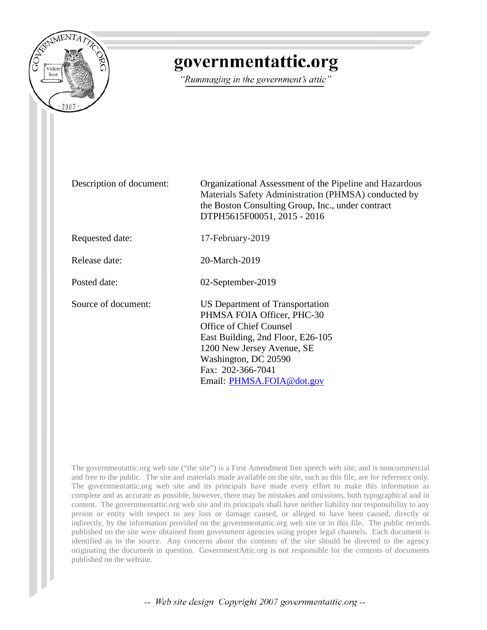

## governmentattic.org

"Rummaging in the government's attic"

Description of document: Organizational Assessment of the Pipeline and Hazardous Materials Safety Administration (PHMSA) conducted by the Boston Consulting Group, Inc., under contract DTPH5615F00051, 2015 - 2016

Requested date: 17-February-2019

Release date: 20-March-2019

Posted date: 02-September-2019

Source of document: US Department of Transportation PHMSA FOIA Officer, PHC-30 Office of Chief Counsel East Building, 2nd Floor, E26-105 1200 New Jersey Avenue, SE Washington, DC 20590 Fax: 202-366-7041 Email: [PHMSA.FOIA@dot.gov](mailto:PHMSA.FOIA@DOT.GOV?subject=FOIA%20Request)

The governmentattic.org web site ("the site") is a First Amendment free speech web site, and is noncommercial and free to the public. The site and materials made available on the site, such as this file, are for reference only. The governmentattic.org web site and its principals have made every effort to make this information as complete and as accurate as possible, however, there may be mistakes and omissions, both typographical and in content. The governmentattic.org web site and its principals shall have neither liability nor responsibility to any person or entity with respect to any loss or damage caused, or alleged to have been caused, directly or indirectly, by the information provided on the governmentattic.org web site or in this file. The public records published on the site were obtained from government agencies using proper legal channels. Each document is identified as to the source. Any concerns about the contents of the site should be directed to the agency originating the document in question. GovernmentAttic.org is not responsible for the contents of documents published on the website.

-- Web site design Copyright 2007 governmentattic.org --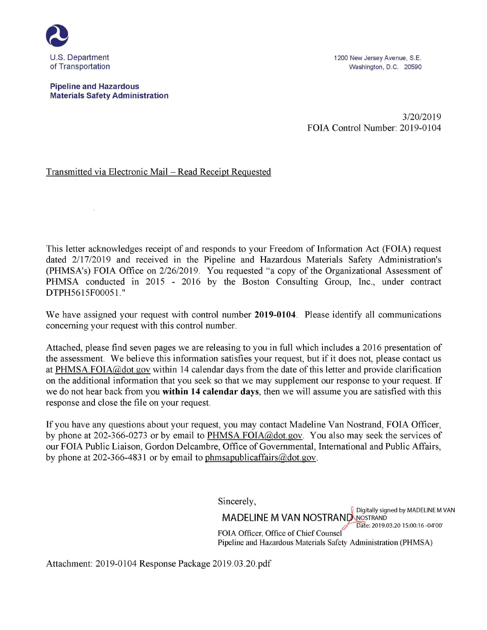

**Pipeline and Hazardous Materials Safety Administration** 

 $\alpha$ 

1200 New Jersey Avenue, S.E. Washington, D.C. 20590

3/20/2019 FOIA Control Number: 2019-0104

#### Transmitted via Electronic Mail – Read Receipt Requested

This letter acknowledges receipt of and responds to your Freedom of Information Act (FOIA) request dated 2/17/2019 and received in the Pipeline and Hazardous Materials Safety Administration's (PHMSA's) FOIA Office on 2/26/2019. You requested "a copy of the Organizational Assessment of PHMSA conducted in 2015 - 2016 by the Boston Consulting Group, Inc., under contract DTPH5615F00051."

We have assigned your request with control number **2019-0104.** Please identify all communications concerning your request with this control number.

Attached, please find seven pages we are releasing to you in full which includes a 2016 presentation of the assessment. We believe this information satisfies your request, but if it does not, please contact us at PHMSA.FOIA@dot.gov within 14 calendar days from the date of this letter and provide clarification on the additional information that you seek so that we may supplement our response to your request. If we do not hear back from you **within 14 calendar days,** then we will assume you are satisfied with this response and close the file on your request.

If you have any questions about your request, you may contact Madeline Van Nostrand, FOIA Officer, by phone at 202-366-0273 or by email to PHMSA.FOIA@dot.gov. You also may seek the services of our FOIA Public Liaison, Gordon Delcambre, Office of Governmental, International and Public Affairs, by phone at 202-366-4831 or by email to phmsapublicaffairs@dot.gov.

Sincerely,

**Digitally signed by MADELINE M VAN MADELINE M VAN NOSTRAND NOSTRAND** FOIA Officer, Office of Chief Counsel Pipeline and Hazardous Materials Safety Administration (PHMSA)

Attachment: 2019-0104 Response Package 2019.03.20.pdf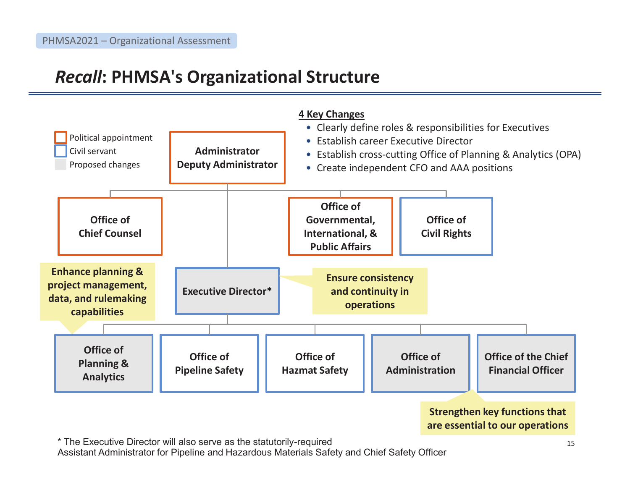# *Recall***: PHMSA's Organizational Structure**



**Strengthen key functions that are essential to our operations** 

\* The Executive Director will also serve as the statutorily-required Assistant Administrator for Pipeline and Hazardous Materials Safety and Chief Safety Officer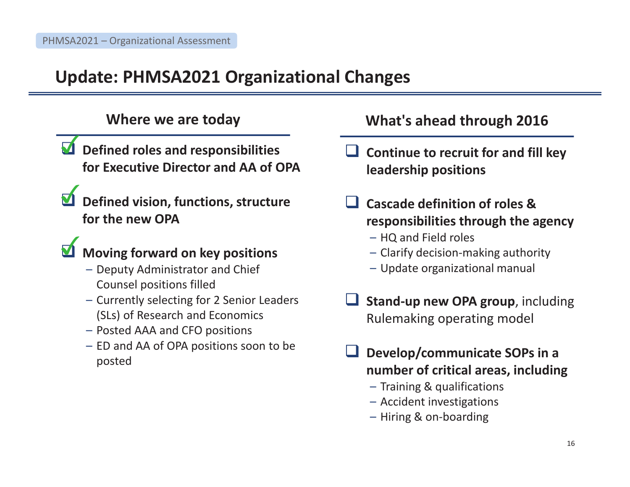# **Update: PHMSA2021 Organizational Changes**

- **Defined roles and responsibilities for Executive Director and AA of OPA**
- $\boldsymbol{\nabla}$ **Defined vision, functions, structure for the new OPA**

## $\boldsymbol{\Sigma}$ **Moving forward on key positions**

- Deputy Administrator and Chief Counsel positions filled
- Currently selecting for 2 Senior Leaders (SLs) of Research and Economics
- Posted AAA and CFO positions
- ED and AA of OPA positions soon to be posted

## **Where we are today What's ahead through 2016**

- $\Box$  **Continue to recruit for and fill key leadership positions**
- $\Box$  **Cascade definition of roles & responsibilities through the agency** 
	- HQ and Field roles
	- Clarify decision-making authority
	- Update organizational manual
- $\Box$  **Stand-up new OPA group**, including Rulemaking operating model
- $\Box$  **Develop/communicate SOPs in a number of critical areas, including** 
	- Training & qualifications
	- Accident investigations
	- Hiring & on-boarding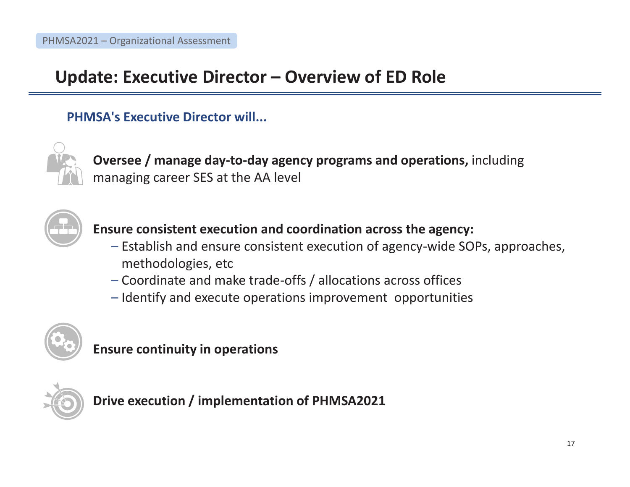# **Update: Executive Director – Overview of ED Role**

## **PHMSA's Executive Director will...**



**Oversee / manage day-to-day agency programs and operations,** including managing career SES at the AA level



**Ensure consistent execution and coordination across the agency:** 

- Establish and ensure consistent execution of agency-wide SOPs, approaches, methodologies, etc
- Coordinate and make trade-offs / allocations across offices
- Identify and execute operations improvement opportunities



**Ensure continuity in operations** 



**Drive execution / implementation of PHMSA2021**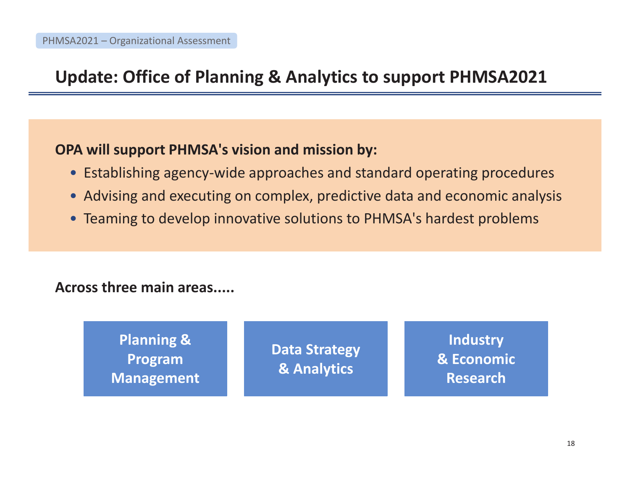# **Update: Office of Planning & Analytics to support PHMSA2021**

## **OPA will support PHMSA's vision and mission by:**

- Establishing agency-wide approaches and standard operating procedures
- Advising and executing on complex, predictive data and economic analysis
- Teaming to develop innovative solutions to PHMSA's hardest problems

## **Across three main areas.....**

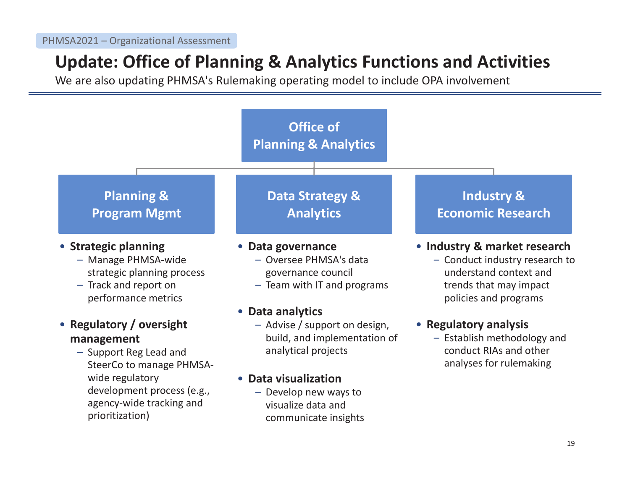# **Update: Office of Planning & Analytics Functions and Activities**

We are also updating PHMSA's Rulemaking operating model to include OPA involvement

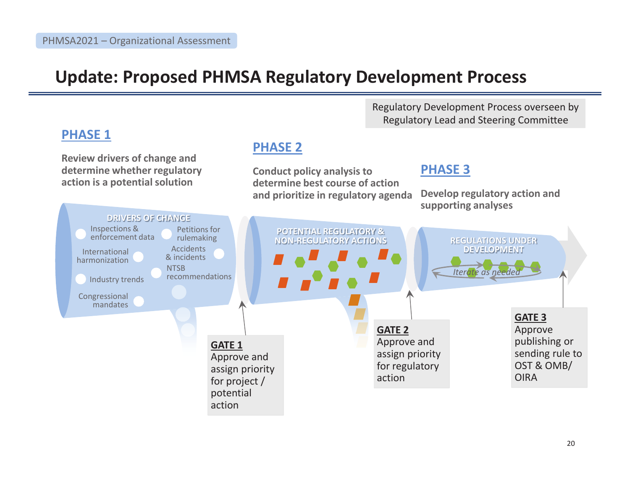## **Update: Proposed PHMSA Regulatory Development Process**

**PHASE 2** 

action

**PHASE 1** 

**Review drivers of change and determine whether regulatory action is a potential solution** 

Regulatory Development Process overseen by Regulatory Lead and Steering Committee

#### **Conduct policy analysis to determine best course of action and prioritize in regulatory agenda PHASE 3 Develop regulatory action and supporting analyses DRIVERS OF CHANGE POTENTIAL REGULATORY &** POTENTIAL REGULATORY & **NON-REGULATORY ACTIONS REGULATIONS UNDER**  NON-REGULATORY ACTIONS **DEVELOPMENT** DEVELOPMENT **GATE 1**  Approve and assign priority for project / potential **GATE 3**  Approve publishing or sending rule to OST & OMB/ **OIRA** *Iterate as needed* Industry trends Congressional mandates Petitions for rulemaking **NTSB** recommendations Inspections & enforcement data Accidents International **Accidents**<br>harmonization **1997** & incidents **GATE 2**  Approve and assign priority for regulatory action •••••••• •••• $\bullet$  $\bullet$   $\bullet$   $\bullet$  i REGULATIONS UNDER Therate as needed